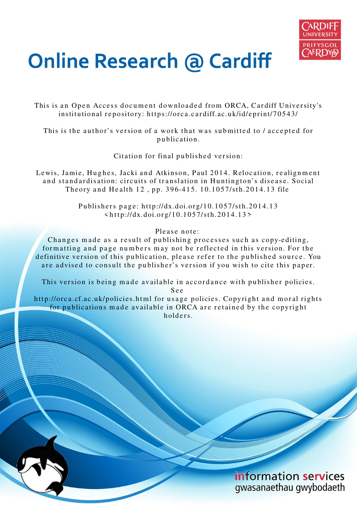

# **Online Research @ Cardiff**

This is an Open Access document downloaded from ORCA, Cardiff University's institutional repository: https://orca.cardiff.ac.uk/id/eprint/70543/

This is the author's version of a work that was submitted to / accepted for p u blication.

Citation for final published version:

Lewis, Jamie, Hughes, Jacki and Atkinson, Paul 2014. Relocation, realignment and standardisation: circuits of translation in Huntington's disease. Social Theory and Health 12, pp. 396-415. 10.1057/sth.2014.13 file

> Publishers page: http://dx.doi.org/10.1057/sth.2014.13  $\frac{\text{th}}{\text{ttp}}$ ://dx.doi.org/10.1057/sth.2014.13>

> > Please note:

Changes made as a result of publishing processes such as copy-editing, formatting and page numbers may not be reflected in this version. For the definitive version of this publication, please refer to the published source. You are advised to consult the publisher's version if you wish to cite this paper.

This version is being made available in accordance with publisher policies.

S e e

http://orca.cf.ac.uk/policies.html for usage policies. Copyright and moral rights for publications made available in ORCA are retained by the copyright holders.

> information services gwasanaethau gwybodaeth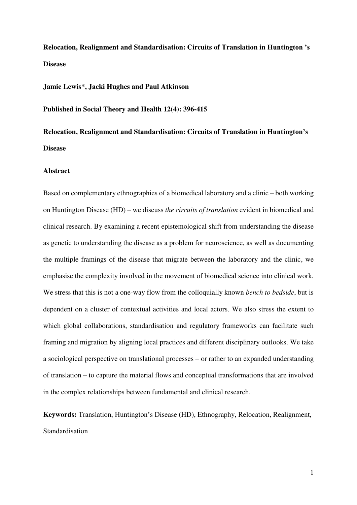**Relocation, Realignment and Standardisation: Circuits of Translation in Huntington 's Disease** 

**Jamie Lewis\*, Jacki Hughes and Paul Atkinson** 

**Published in Social Theory and Health 12(4): 396-415** 

**Relocation, Realignment and Standardisation: Circuits of Translation in Huntington's Disease** 

#### **Abstract**

Based on complementary ethnographies of a biomedical laboratory and a clinic – both working on Huntington Disease (HD) – we discuss *the circuits of translation* evident in biomedical and clinical research. By examining a recent epistemological shift from understanding the disease as genetic to understanding the disease as a problem for neuroscience, as well as documenting the multiple framings of the disease that migrate between the laboratory and the clinic, we emphasise the complexity involved in the movement of biomedical science into clinical work. We stress that this is not a one-way flow from the colloquially known *bench to bedside*, but is dependent on a cluster of contextual activities and local actors. We also stress the extent to which global collaborations, standardisation and regulatory frameworks can facilitate such framing and migration by aligning local practices and different disciplinary outlooks. We take a sociological perspective on translational processes – or rather to an expanded understanding of translation – to capture the material flows and conceptual transformations that are involved in the complex relationships between fundamental and clinical research.

**Keywords:** Translation, Huntington's Disease (HD), Ethnography, Relocation, Realignment, **Standardisation**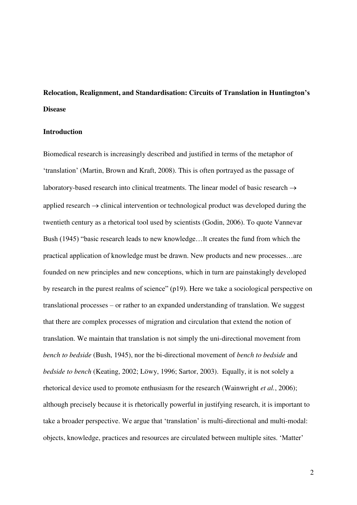# **Relocation, Realignment, and Standardisation: Circuits of Translation in Huntington's Disease**

#### **Introduction**

Biomedical research is increasingly described and justified in terms of the metaphor of 'translation' (Martin, Brown and Kraft, 2008). This is often portrayed as the passage of laboratory-based research into clinical treatments. The linear model of basic research  $\rightarrow$ applied research  $\rightarrow$  clinical intervention or technological product was developed during the twentieth century as a rhetorical tool used by scientists (Godin, 2006). To quote Vannevar Bush (1945) "basic research leads to new knowledge…It creates the fund from which the practical application of knowledge must be drawn. New products and new processes…are founded on new principles and new conceptions, which in turn are painstakingly developed by research in the purest realms of science" (p19). Here we take a sociological perspective on translational processes – or rather to an expanded understanding of translation. We suggest that there are complex processes of migration and circulation that extend the notion of translation. We maintain that translation is not simply the uni-directional movement from *bench to bedside* (Bush, 1945), nor the bi-directional movement of *bench to bedside* and *bedside to bench* (Keating, 2002; Löwy, 1996; Sartor, 2003). Equally, it is not solely a rhetorical device used to promote enthusiasm for the research (Wainwright *et al.*, 2006); although precisely because it is rhetorically powerful in justifying research, it is important to take a broader perspective. We argue that 'translation' is multi-directional and multi-modal: objects, knowledge, practices and resources are circulated between multiple sites. 'Matter'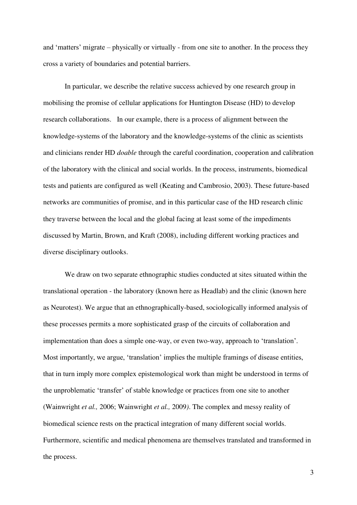and 'matters' migrate – physically or virtually - from one site to another. In the process they cross a variety of boundaries and potential barriers.

In particular, we describe the relative success achieved by one research group in mobilising the promise of cellular applications for Huntington Disease (HD) to develop research collaborations. In our example, there is a process of alignment between the knowledge-systems of the laboratory and the knowledge-systems of the clinic as scientists and clinicians render HD *doable* through the careful coordination, cooperation and calibration of the laboratory with the clinical and social worlds. In the process, instruments, biomedical tests and patients are configured as well (Keating and Cambrosio, 2003). These future-based networks are communities of promise, and in this particular case of the HD research clinic they traverse between the local and the global facing at least some of the impediments discussed by Martin, Brown, and Kraft (2008), including different working practices and diverse disciplinary outlooks.

We draw on two separate ethnographic studies conducted at sites situated within the translational operation - the laboratory (known here as Headlab) and the clinic (known here as Neurotest). We argue that an ethnographically-based, sociologically informed analysis of these processes permits a more sophisticated grasp of the circuits of collaboration and implementation than does a simple one-way, or even two-way, approach to 'translation'. Most importantly, we argue, 'translation' implies the multiple framings of disease entities, that in turn imply more complex epistemological work than might be understood in terms of the unproblematic 'transfer' of stable knowledge or practices from one site to another (Wainwright *et al.,* 2006; Wainwright *et al.,* 2009*)*. The complex and messy reality of biomedical science rests on the practical integration of many different social worlds. Furthermore, scientific and medical phenomena are themselves translated and transformed in the process.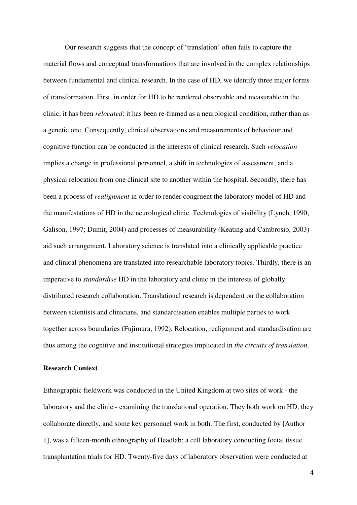Our research suggests that the concept of 'translation' often fails to capture the material flows and conceptual transformations that are involved in the complex relationships between fundamental and clinical research. In the case of HD, we identify three major forms of transformation. First, in order for HD to be rendered observable and measurable in the clinic, it has been *relocated*: it has been re-framed as a neurological condition, rather than as a genetic one. Consequently, clinical observations and measurements of behaviour and cognitive function can be conducted in the interests of clinical research. Such *relocation* implies a change in professional personnel, a shift in technologies of assessment, and a physical relocation from one clinical site to another within the hospital. Secondly, there has been a process of *realignment* in order to render congruent the laboratory model of HD and the manifestations of HD in the neurological clinic. Technologies of visibility (Lynch, 1990; Galison, 1997; Dumit, 2004) and processes of measurability (Keating and Cambrosio, 2003) aid such arrangement. Laboratory science is translated into a clinically applicable practice and clinical phenomena are translated into researchable laboratory topics. Thirdly, there is an imperative to *standardise* HD in the laboratory and clinic in the interests of globally distributed research collaboration. Translational research is dependent on the collaboration between scientists and clinicians, and standardisation enables multiple parties to work together across boundaries (Fujimura, 1992). Relocation, realignment and standardisation are thus among the cognitive and institutional strategies implicated in *the circuits of translation*.

# **Research Context**

Ethnographic fieldwork was conducted in the United Kingdom at two sites of work - the laboratory and the clinic - examining the translational operation. They both work on HD, they collaborate directly, and some key personnel work in both. The first, conducted by [Author 1], was a fifteen-month ethnography of Headlab; a cell laboratory conducting foetal tissue transplantation trials for HD. Twenty-five days of laboratory observation were conducted at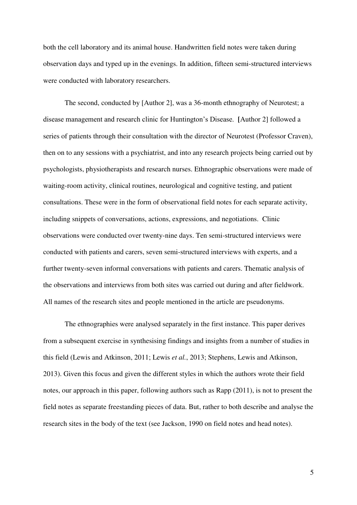both the cell laboratory and its animal house. Handwritten field notes were taken during observation days and typed up in the evenings. In addition, fifteen semi-structured interviews were conducted with laboratory researchers.

The second, conducted by [Author 2], was a 36-month ethnography of Neurotest; a disease management and research clinic for Huntington's Disease. **[**Author 2] followed a series of patients through their consultation with the director of Neurotest (Professor Craven), then on to any sessions with a psychiatrist, and into any research projects being carried out by psychologists, physiotherapists and research nurses. Ethnographic observations were made of waiting-room activity, clinical routines, neurological and cognitive testing, and patient consultations. These were in the form of observational field notes for each separate activity, including snippets of conversations, actions, expressions, and negotiations. Clinic observations were conducted over twenty-nine days. Ten semi-structured interviews were conducted with patients and carers, seven semi-structured interviews with experts, and a further twenty-seven informal conversations with patients and carers. Thematic analysis of the observations and interviews from both sites was carried out during and after fieldwork. All names of the research sites and people mentioned in the article are pseudonyms.

The ethnographies were analysed separately in the first instance. This paper derives from a subsequent exercise in synthesising findings and insights from a number of studies in this field (Lewis and Atkinson, 2011; Lewis *et al.*, 2013; Stephens, Lewis and Atkinson, 2013). Given this focus and given the different styles in which the authors wrote their field notes, our approach in this paper, following authors such as Rapp (2011), is not to present the field notes as separate freestanding pieces of data. But, rather to both describe and analyse the research sites in the body of the text (see Jackson, 1990 on field notes and head notes).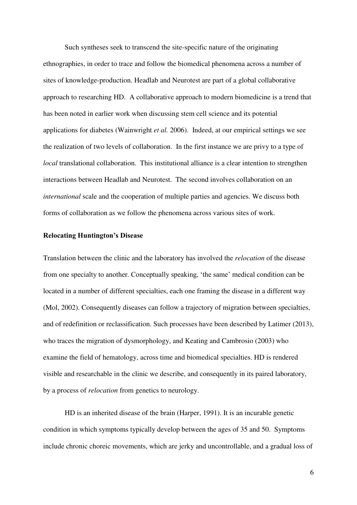Such syntheses seek to transcend the site-specific nature of the originating ethnographies, in order to trace and follow the biomedical phenomena across a number of sites of knowledge-production. Headlab and Neurotest are part of a global collaborative approach to researching HD. A collaborative approach to modern biomedicine is a trend that has been noted in earlier work when discussing stem cell science and its potential applications for diabetes (Wainwright *et al.* 2006). Indeed, at our empirical settings we see the realization of two levels of collaboration. In the first instance we are privy to a type of *local* translational collaboration. This institutional alliance is a clear intention to strengthen interactions between Headlab and Neurotest. The second involves collaboration on an *international* scale and the cooperation of multiple parties and agencies. We discuss both forms of collaboration as we follow the phenomena across various sites of work.

#### **Relocating Huntington's Disease**

Translation between the clinic and the laboratory has involved the *relocation* of the disease from one specialty to another. Conceptually speaking, 'the same' medical condition can be located in a number of different specialties, each one framing the disease in a different way (Mol, 2002). Consequently diseases can follow a trajectory of migration between specialties, and of redefinition or reclassification. Such processes have been described by Latimer (2013), who traces the migration of dysmorphology, and Keating and Cambrosio (2003) who examine the field of hematology, across time and biomedical specialties. HD is rendered visible and researchable in the clinic we describe, and consequently in its paired laboratory, by a process of *relocation* from genetics to neurology.

HD is an inherited disease of the brain (Harper, 1991). It is an incurable genetic condition in which symptoms typically develop between the ages of 35 and 50. Symptoms include chronic choreic movements, which are jerky and uncontrollable, and a gradual loss of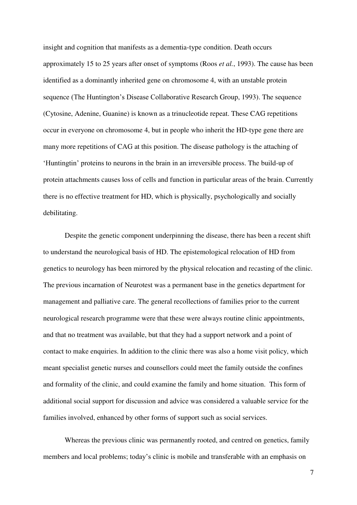insight and cognition that manifests as a dementia-type condition. Death occurs approximately 15 to 25 years after onset of symptoms (Roos *et al.*, 1993). The cause has been identified as a dominantly inherited gene on chromosome 4, with an unstable protein sequence (The Huntington's Disease Collaborative Research Group, 1993). The sequence (Cytosine, Adenine, Guanine) is known as a trinucleotide repeat. These CAG repetitions occur in everyone on chromosome 4, but in people who inherit the HD-type gene there are many more repetitions of CAG at this position. The disease pathology is the attaching of 'Huntingtin' proteins to neurons in the brain in an irreversible process. The build-up of protein attachments causes loss of cells and function in particular areas of the brain. Currently there is no effective treatment for HD, which is physically, psychologically and socially debilitating.

Despite the genetic component underpinning the disease, there has been a recent shift to understand the neurological basis of HD. The epistemological relocation of HD from genetics to neurology has been mirrored by the physical relocation and recasting of the clinic. The previous incarnation of Neurotest was a permanent base in the genetics department for management and palliative care. The general recollections of families prior to the current neurological research programme were that these were always routine clinic appointments, and that no treatment was available, but that they had a support network and a point of contact to make enquiries. In addition to the clinic there was also a home visit policy, which meant specialist genetic nurses and counsellors could meet the family outside the confines and formality of the clinic, and could examine the family and home situation. This form of additional social support for discussion and advice was considered a valuable service for the families involved, enhanced by other forms of support such as social services.

Whereas the previous clinic was permanently rooted, and centred on genetics, family members and local problems; today's clinic is mobile and transferable with an emphasis on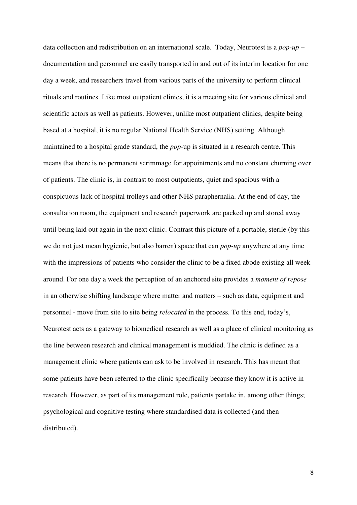data collection and redistribution on an international scale. Today, Neurotest is a *pop-up* – documentation and personnel are easily transported in and out of its interim location for one day a week, and researchers travel from various parts of the university to perform clinical rituals and routines. Like most outpatient clinics, it is a meeting site for various clinical and scientific actors as well as patients. However, unlike most outpatient clinics, despite being based at a hospital, it is no regular National Health Service (NHS) setting. Although maintained to a hospital grade standard, the *pop-*up is situated in a research centre. This means that there is no permanent scrimmage for appointments and no constant churning over of patients. The clinic is, in contrast to most outpatients, quiet and spacious with a conspicuous lack of hospital trolleys and other NHS paraphernalia. At the end of day, the consultation room, the equipment and research paperwork are packed up and stored away until being laid out again in the next clinic. Contrast this picture of a portable, sterile (by this we do not just mean hygienic, but also barren) space that can *pop-up* anywhere at any time with the impressions of patients who consider the clinic to be a fixed abode existing all week around. For one day a week the perception of an anchored site provides a *moment of repose* in an otherwise shifting landscape where matter and matters – such as data, equipment and personnel - move from site to site being *relocated* in the process. To this end, today's, Neurotest acts as a gateway to biomedical research as well as a place of clinical monitoring as the line between research and clinical management is muddied. The clinic is defined as a management clinic where patients can ask to be involved in research. This has meant that some patients have been referred to the clinic specifically because they know it is active in research. However, as part of its management role, patients partake in, among other things; psychological and cognitive testing where standardised data is collected (and then distributed).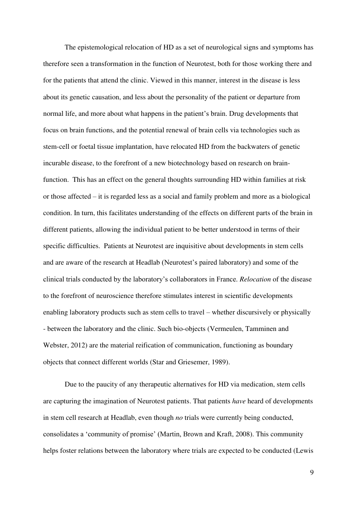The epistemological relocation of HD as a set of neurological signs and symptoms has therefore seen a transformation in the function of Neurotest, both for those working there and for the patients that attend the clinic. Viewed in this manner, interest in the disease is less about its genetic causation, and less about the personality of the patient or departure from normal life, and more about what happens in the patient's brain. Drug developments that focus on brain functions, and the potential renewal of brain cells via technologies such as stem-cell or foetal tissue implantation, have relocated HD from the backwaters of genetic incurable disease, to the forefront of a new biotechnology based on research on brainfunction. This has an effect on the general thoughts surrounding HD within families at risk or those affected – it is regarded less as a social and family problem and more as a biological condition. In turn, this facilitates understanding of the effects on different parts of the brain in different patients, allowing the individual patient to be better understood in terms of their specific difficulties. Patients at Neurotest are inquisitive about developments in stem cells and are aware of the research at Headlab (Neurotest's paired laboratory) and some of the clinical trials conducted by the laboratory's collaborators in France. *Relocation* of the disease to the forefront of neuroscience therefore stimulates interest in scientific developments enabling laboratory products such as stem cells to travel – whether discursively or physically - between the laboratory and the clinic. Such bio-objects (Vermeulen, Tamminen and Webster, 2012) are the material reification of communication, functioning as boundary objects that connect different worlds (Star and Griesemer, 1989).

Due to the paucity of any therapeutic alternatives for HD via medication, stem cells are capturing the imagination of Neurotest patients. That patients *have* heard of developments in stem cell research at Headlab, even though *no* trials were currently being conducted, consolidates a 'community of promise' (Martin, Brown and Kraft, 2008). This community helps foster relations between the laboratory where trials are expected to be conducted (Lewis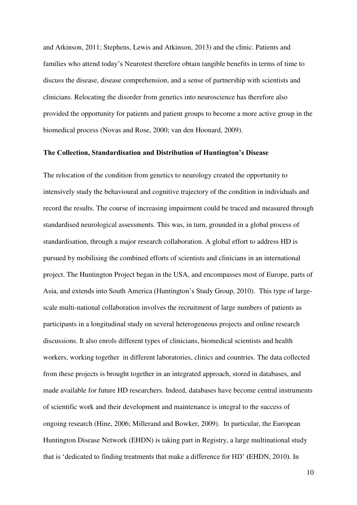and Atkinson, 2011; Stephens, Lewis and Atkinson, 2013) and the clinic. Patients and families who attend today's Neurotest therefore obtain tangible benefits in terms of time to discuss the disease, disease comprehension, and a sense of partnership with scientists and clinicians. Relocating the disorder from genetics into neuroscience has therefore also provided the opportunity for patients and patient groups to become a more active group in the biomedical process (Novas and Rose, 2000; van den Hoonard, 2009).

#### **The Collection, Standardisation and Distribution of Huntington's Disease**

The relocation of the condition from genetics to neurology created the opportunity to intensively study the behavioural and cognitive trajectory of the condition in individuals and record the results. The course of increasing impairment could be traced and measured through standardised neurological assessments. This was, in turn, grounded in a global process of standardisation, through a major research collaboration. A global effort to address HD is pursued by mobilising the combined efforts of scientists and clinicians in an international project. The Huntington Project began in the USA, and encompasses most of Europe, parts of Asia, and extends into South America (Huntington's Study Group, 2010). This type of largescale multi-national collaboration involves the recruitment of large numbers of patients as participants in a longitudinal study on several heterogeneous projects and online research discussions. It also enrols different types of clinicians, biomedical scientists and health workers, working together in different laboratories, clinics and countries. The data collected from these projects is brought together in an integrated approach, stored in databases, and made available for future HD researchers. Indeed, databases have become central instruments of scientific work and their development and maintenance is integral to the success of ongoing research (Hine, 2006; Millerand and Bowker, 2009). In particular, the European Huntington Disease Network (EHDN) is taking part in Registry, a large multinational study that is 'dedicated to finding treatments that make a difference for HD' **(**EHDN, 2010**)**. In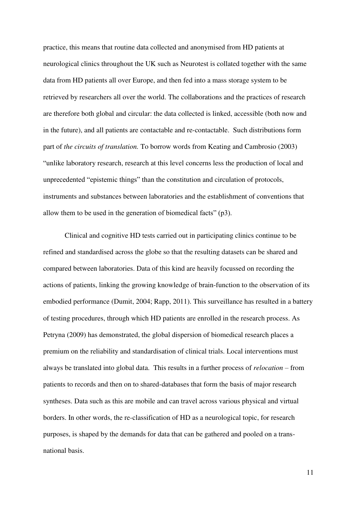practice, this means that routine data collected and anonymised from HD patients at neurological clinics throughout the UK such as Neurotest is collated together with the same data from HD patients all over Europe, and then fed into a mass storage system to be retrieved by researchers all over the world. The collaborations and the practices of research are therefore both global and circular: the data collected is linked, accessible (both now and in the future), and all patients are contactable and re-contactable. Such distributions form part of *the circuits of translation.* To borrow words from Keating and Cambrosio (2003) "unlike laboratory research, research at this level concerns less the production of local and unprecedented "epistemic things" than the constitution and circulation of protocols, instruments and substances between laboratories and the establishment of conventions that allow them to be used in the generation of biomedical facts" (p3).

Clinical and cognitive HD tests carried out in participating clinics continue to be refined and standardised across the globe so that the resulting datasets can be shared and compared between laboratories. Data of this kind are heavily focussed on recording the actions of patients, linking the growing knowledge of brain-function to the observation of its embodied performance (Dumit, 2004; Rapp, 2011). This surveillance has resulted in a battery of testing procedures, through which HD patients are enrolled in the research process. As Petryna (2009) has demonstrated, the global dispersion of biomedical research places a premium on the reliability and standardisation of clinical trials. Local interventions must always be translated into global data. This results in a further process of *relocation* – from patients to records and then on to shared-databases that form the basis of major research syntheses. Data such as this are mobile and can travel across various physical and virtual borders. In other words, the re-classification of HD as a neurological topic, for research purposes, is shaped by the demands for data that can be gathered and pooled on a transnational basis.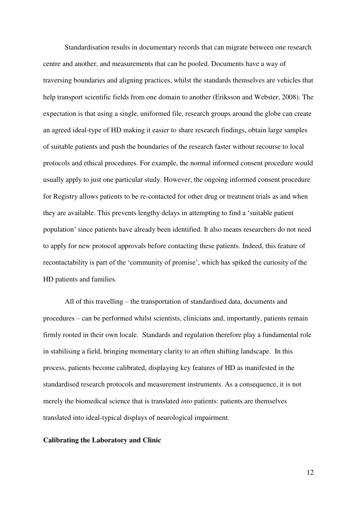Standardisation results in documentary records that can migrate between one research centre and another, and measurements that can be pooled. Documents have a way of traversing boundaries and aligning practices, whilst the standards themselves are vehicles that help transport scientific fields from one domain to another (Eriksson and Webster, 2008). The expectation is that using a single, uniformed file, research groups around the globe can create an agreed ideal-type of HD making it easier to share research findings, obtain large samples of suitable patients and push the boundaries of the research faster without recourse to local protocols and ethical procedures. For example, the normal informed consent procedure would usually apply to just one particular study. However, the ongoing informed consent procedure for Registry allows patients to be re-contacted for other drug or treatment trials as and when they are available. This prevents lengthy delays in attempting to find a 'suitable patient population' since patients have already been identified. It also means researchers do not need to apply for new protocol approvals before contacting these patients. Indeed, this feature of recontactability is part of the 'community of promise', which has spiked the curiosity of the HD patients and families.

All of this travelling – the transportation of standardised data, documents and procedures – can be performed whilst scientists, clinicians and, importantly, patients remain firmly rooted in their own locale. Standards and regulation therefore play a fundamental role in stabilising a field, bringing momentary clarity to an often shifting landscape. In this process, patients become calibrated, displaying key features of HD as manifested in the standardised research protocols and measurement instruments. As a consequence, it is not merely the biomedical science that is translated *into* patients: patients are themselves translated into ideal-typical displays of neurological impairment.

# **Calibrating the Laboratory and Clinic**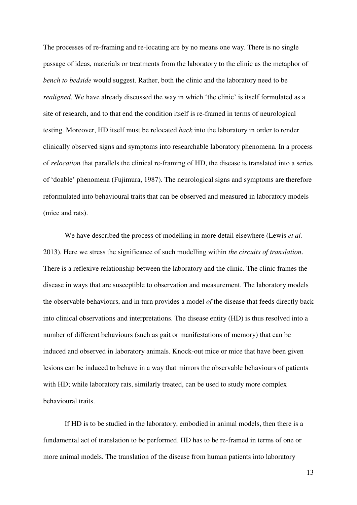The processes of re-framing and re-locating are by no means one way. There is no single passage of ideas, materials or treatments from the laboratory to the clinic as the metaphor of *bench to bedside* would suggest. Rather, both the clinic and the laboratory need to be *realigned*. We have already discussed the way in which 'the clinic' is itself formulated as a site of research, and to that end the condition itself is re-framed in terms of neurological testing. Moreover, HD itself must be relocated *back* into the laboratory in order to render clinically observed signs and symptoms into researchable laboratory phenomena. In a process of *relocation* that parallels the clinical re-framing of HD, the disease is translated into a series of 'doable' phenomena (Fujimura, 1987). The neurological signs and symptoms are therefore reformulated into behavioural traits that can be observed and measured in laboratory models (mice and rats).

 We have described the process of modelling in more detail elsewhere (Lewis *et al.*  2013). Here we stress the significance of such modelling within *the circuits of translation*. There is a reflexive relationship between the laboratory and the clinic. The clinic frames the disease in ways that are susceptible to observation and measurement. The laboratory models the observable behaviours, and in turn provides a model *of* the disease that feeds directly back into clinical observations and interpretations. The disease entity (HD) is thus resolved into a number of different behaviours (such as gait or manifestations of memory) that can be induced and observed in laboratory animals. Knock-out mice or mice that have been given lesions can be induced to behave in a way that mirrors the observable behaviours of patients with HD; while laboratory rats, similarly treated, can be used to study more complex behavioural traits.

If HD is to be studied in the laboratory, embodied in animal models, then there is a fundamental act of translation to be performed. HD has to be re-framed in terms of one or more animal models. The translation of the disease from human patients into laboratory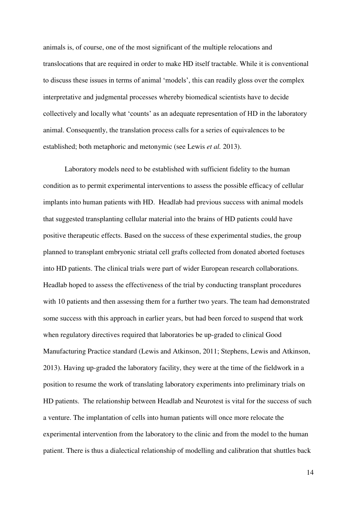animals is, of course, one of the most significant of the multiple relocations and translocations that are required in order to make HD itself tractable. While it is conventional to discuss these issues in terms of animal 'models', this can readily gloss over the complex interpretative and judgmental processes whereby biomedical scientists have to decide collectively and locally what 'counts' as an adequate representation of HD in the laboratory animal. Consequently, the translation process calls for a series of equivalences to be established; both metaphoric and metonymic (see Lewis *et al.* 2013).

 Laboratory models need to be established with sufficient fidelity to the human condition as to permit experimental interventions to assess the possible efficacy of cellular implants into human patients with HD. Headlab had previous success with animal models that suggested transplanting cellular material into the brains of HD patients could have positive therapeutic effects. Based on the success of these experimental studies, the group planned to transplant embryonic striatal cell grafts collected from donated aborted foetuses into HD patients. The clinical trials were part of wider European research collaborations. Headlab hoped to assess the effectiveness of the trial by conducting transplant procedures with 10 patients and then assessing them for a further two years. The team had demonstrated some success with this approach in earlier years, but had been forced to suspend that work when regulatory directives required that laboratories be up-graded to clinical Good Manufacturing Practice standard (Lewis and Atkinson, 2011; Stephens, Lewis and Atkinson, 2013). Having up-graded the laboratory facility, they were at the time of the fieldwork in a position to resume the work of translating laboratory experiments into preliminary trials on HD patients. The relationship between Headlab and Neurotest is vital for the success of such a venture. The implantation of cells into human patients will once more relocate the experimental intervention from the laboratory to the clinic and from the model to the human patient. There is thus a dialectical relationship of modelling and calibration that shuttles back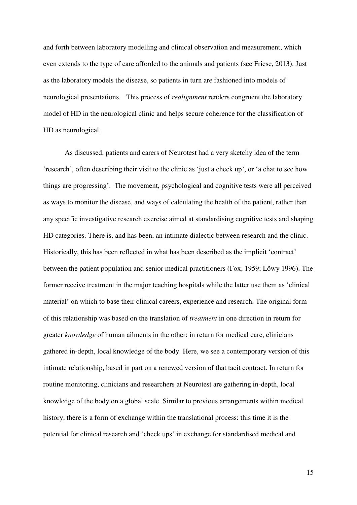and forth between laboratory modelling and clinical observation and measurement, which even extends to the type of care afforded to the animals and patients (see Friese, 2013). Just as the laboratory models the disease, so patients in turn are fashioned into models of neurological presentations. This process of *realignment* renders congruent the laboratory model of HD in the neurological clinic and helps secure coherence for the classification of HD as neurological.

As discussed, patients and carers of Neurotest had a very sketchy idea of the term 'research', often describing their visit to the clinic as 'just a check up', or 'a chat to see how things are progressing'. The movement, psychological and cognitive tests were all perceived as ways to monitor the disease, and ways of calculating the health of the patient, rather than any specific investigative research exercise aimed at standardising cognitive tests and shaping HD categories. There is, and has been, an intimate dialectic between research and the clinic. Historically, this has been reflected in what has been described as the implicit 'contract' between the patient population and senior medical practitioners (Fox, 1959; Löwy 1996). The former receive treatment in the major teaching hospitals while the latter use them as 'clinical material' on which to base their clinical careers, experience and research. The original form of this relationship was based on the translation of *treatment* in one direction in return for greater *knowledge* of human ailments in the other: in return for medical care, clinicians gathered in-depth, local knowledge of the body. Here, we see a contemporary version of this intimate relationship, based in part on a renewed version of that tacit contract. In return for routine monitoring, clinicians and researchers at Neurotest are gathering in-depth, local knowledge of the body on a global scale. Similar to previous arrangements within medical history, there is a form of exchange within the translational process: this time it is the potential for clinical research and 'check ups' in exchange for standardised medical and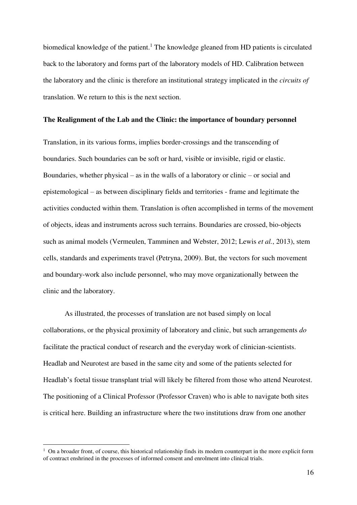biomedical knowledge of the patient.<sup>1</sup> The knowledge gleaned from HD patients is circulated back to the laboratory and forms part of the laboratory models of HD. Calibration between the laboratory and the clinic is therefore an institutional strategy implicated in the *circuits of*  translation. We return to this is the next section.

#### **The Realignment of the Lab and the Clinic: the importance of boundary personnel**

Translation, in its various forms, implies border-crossings and the transcending of boundaries. Such boundaries can be soft or hard, visible or invisible, rigid or elastic. Boundaries, whether physical – as in the walls of a laboratory or clinic – or social and epistemological – as between disciplinary fields and territories - frame and legitimate the activities conducted within them. Translation is often accomplished in terms of the movement of objects, ideas and instruments across such terrains. Boundaries are crossed, bio-objects such as animal models (Vermeulen, Tamminen and Webster, 2012; Lewis *et al.*, 2013), stem cells, standards and experiments travel (Petryna, 2009). But, the vectors for such movement and boundary-work also include personnel, who may move organizationally between the clinic and the laboratory.

 As illustrated, the processes of translation are not based simply on local collaborations, or the physical proximity of laboratory and clinic, but such arrangements *do*  facilitate the practical conduct of research and the everyday work of clinician-scientists. Headlab and Neurotest are based in the same city and some of the patients selected for Headlab's foetal tissue transplant trial will likely be filtered from those who attend Neurotest. The positioning of a Clinical Professor (Professor Craven) who is able to navigate both sites is critical here. Building an infrastructure where the two institutions draw from one another

-

<sup>&</sup>lt;sup>1</sup> On a broader front, of course, this historical relationship finds its modern counterpart in the more explicit form of contract enshrined in the processes of informed consent and enrolment into clinical trials.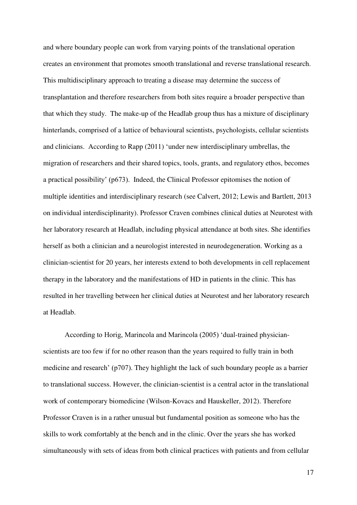and where boundary people can work from varying points of the translational operation creates an environment that promotes smooth translational and reverse translational research. This multidisciplinary approach to treating a disease may determine the success of transplantation and therefore researchers from both sites require a broader perspective than that which they study. The make-up of the Headlab group thus has a mixture of disciplinary hinterlands, comprised of a lattice of behavioural scientists, psychologists, cellular scientists and clinicians. According to Rapp (2011) 'under new interdisciplinary umbrellas, the migration of researchers and their shared topics, tools, grants, and regulatory ethos, becomes a practical possibility' (p673). Indeed, the Clinical Professor epitomises the notion of multiple identities and interdisciplinary research (see Calvert, 2012; Lewis and Bartlett, 2013 on individual interdisciplinarity). Professor Craven combines clinical duties at Neurotest with her laboratory research at Headlab, including physical attendance at both sites. She identifies herself as both a clinician and a neurologist interested in neurodegeneration. Working as a clinician-scientist for 20 years, her interests extend to both developments in cell replacement therapy in the laboratory and the manifestations of HD in patients in the clinic. This has resulted in her travelling between her clinical duties at Neurotest and her laboratory research at Headlab.

According to Horig, Marincola and Marincola (2005) 'dual-trained physicianscientists are too few if for no other reason than the years required to fully train in both medicine and research' (p707). They highlight the lack of such boundary people as a barrier to translational success. However, the clinician-scientist is a central actor in the translational work of contemporary biomedicine (Wilson-Kovacs and Hauskeller, 2012). Therefore Professor Craven is in a rather unusual but fundamental position as someone who has the skills to work comfortably at the bench and in the clinic. Over the years she has worked simultaneously with sets of ideas from both clinical practices with patients and from cellular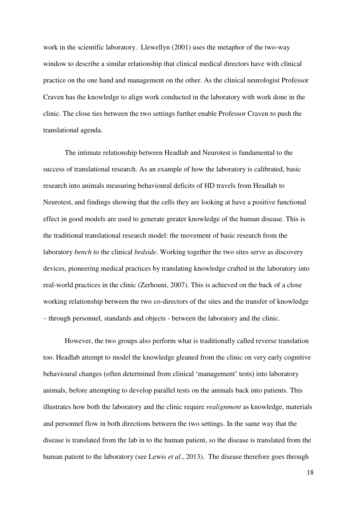work in the scientific laboratory. Llewellyn (2001) uses the metaphor of the two-way window to describe a similar relationship that clinical medical directors have with clinical practice on the one hand and management on the other. As the clinical neurologist Professor Craven has the knowledge to align work conducted in the laboratory with work done in the clinic. The close ties between the two settings further enable Professor Craven to push the translational agenda.

 The intimate relationship between Headlab and Neurotest is fundamental to the success of translational research. As an example of how the laboratory is calibrated, basic research into animals measuring behavioural deficits of HD travels from Headlab to Neurotest, and findings showing that the cells they are looking at have a positive functional effect in good models are used to generate greater knowledge of the human disease. This is the traditional translational research model: the movement of basic research from the laboratory *bench* to the clinical *bedside*. Working together the two sites serve as discovery devices, pioneering medical practices by translating knowledge crafted in the laboratory into real-world practices in the clinic (Zerhouni, 2007). This is achieved on the back of a close working relationship between the two co-directors of the sites and the transfer of knowledge – through personnel, standards and objects - between the laboratory and the clinic.

 However, the two groups also perform what is traditionally called reverse translation too. Headlab attempt to model the knowledge gleaned from the clinic on very early cognitive behavioural changes (often determined from clinical 'management' tests) into laboratory animals, before attempting to develop parallel tests on the animals back into patients. This illustrates how both the laboratory and the clinic require *realignment* as knowledge, materials and personnel flow in both directions between the two settings. In the same way that the disease is translated from the lab in to the human patient, so the disease is translated from the human patient to the laboratory (see Lewis *et al.*, 2013). The disease therefore goes through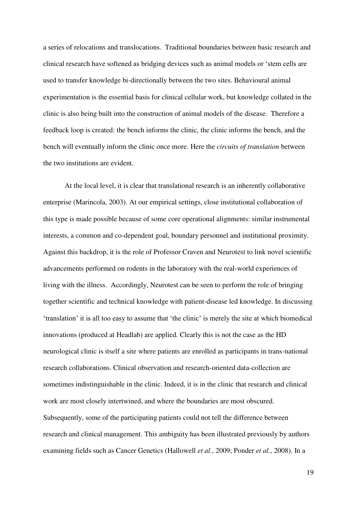a series of relocations and translocations. Traditional boundaries between basic research and clinical research have softened as bridging devices such as animal models or 'stem cells are used to transfer knowledge bi-directionally between the two sites. Behavioural animal experimentation is the essential basis for clinical cellular work, but knowledge collated in the clinic is also being built into the construction of animal models of the disease. Therefore a feedback loop is created: the bench informs the clinic, the clinic informs the bench, and the bench will eventually inform the clinic once more. Here the *circuits of translation* between the two institutions are evident.

 At the local level, it is clear that translational research is an inherently collaborative enterprise (Marincola, 2003). At our empirical settings, close institutional collaboration of this type is made possible because of some core operational alignments: similar instrumental interests, a common and co-dependent goal, boundary personnel and institutional proximity. Against this backdrop, it is the role of Professor Craven and Neurotest to link novel scientific advancements performed on rodents in the laboratory with the real-world experiences of living with the illness. Accordingly, Neurotest can be seen to perform the role of bringing together scientific and technical knowledge with patient-disease led knowledge. In discussing 'translation' it is all too easy to assume that 'the clinic' is merely the site at which biomedical innovations (produced at Headlab) are applied. Clearly this is not the case as the HD neurological clinic is itself a site where patients are enrolled as participants in trans-national research collaborations. Clinical observation and research-oriented data-collection are sometimes indistinguishable in the clinic. Indeed, it is in the clinic that research and clinical work are most closely intertwined, and where the boundaries are most obscured. Subsequently, some of the participating patients could not tell the difference between research and clinical management. This ambiguity has been illustrated previously by authors examining fields such as Cancer Genetics (Hallowell *et al.*, 2009; Ponder *et al.*, 2008). In a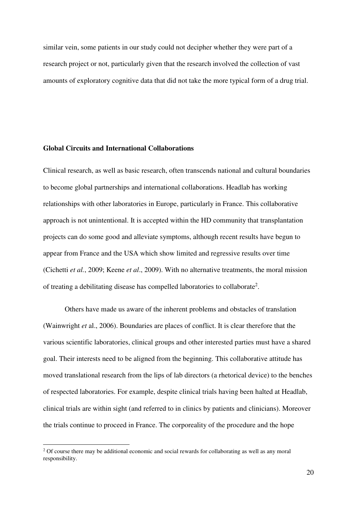similar vein, some patients in our study could not decipher whether they were part of a research project or not, particularly given that the research involved the collection of vast amounts of exploratory cognitive data that did not take the more typical form of a drug trial.

#### **Global Circuits and International Collaborations**

Clinical research, as well as basic research, often transcends national and cultural boundaries to become global partnerships and international collaborations. Headlab has working relationships with other laboratories in Europe, particularly in France. This collaborative approach is not unintentional. It is accepted within the HD community that transplantation projects can do some good and alleviate symptoms, although recent results have begun to appear from France and the USA which show limited and regressive results over time (Cichetti *et al.*, 2009; Keene *et al*., 2009). With no alternative treatments, the moral mission of treating a debilitating disease has compelled laboratories to collaborate<sup>2</sup>.

 Others have made us aware of the inherent problems and obstacles of translation (Wainwright *et* al., 2006). Boundaries are places of conflict. It is clear therefore that the various scientific laboratories, clinical groups and other interested parties must have a shared goal. Their interests need to be aligned from the beginning. This collaborative attitude has moved translational research from the lips of lab directors (a rhetorical device) to the benches of respected laboratories. For example, despite clinical trials having been halted at Headlab, clinical trials are within sight (and referred to in clinics by patients and clinicians). Moreover the trials continue to proceed in France. The corporeality of the procedure and the hope

-

<sup>&</sup>lt;sup>2</sup> Of course there may be additional economic and social rewards for collaborating as well as any moral responsibility.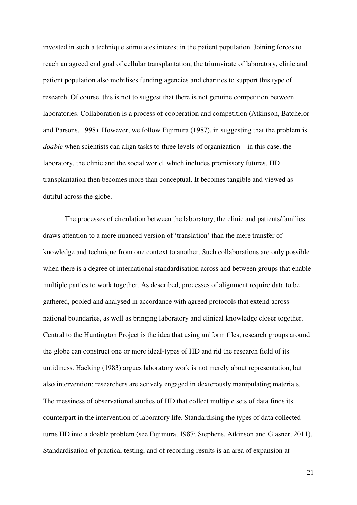invested in such a technique stimulates interest in the patient population. Joining forces to reach an agreed end goal of cellular transplantation, the triumvirate of laboratory, clinic and patient population also mobilises funding agencies and charities to support this type of research. Of course, this is not to suggest that there is not genuine competition between laboratories. Collaboration is a process of cooperation and competition (Atkinson, Batchelor and Parsons, 1998). However, we follow Fujimura (1987), in suggesting that the problem is *doable* when scientists can align tasks to three levels of organization – in this case, the laboratory, the clinic and the social world, which includes promissory futures. HD transplantation then becomes more than conceptual. It becomes tangible and viewed as dutiful across the globe.

The processes of circulation between the laboratory, the clinic and patients/families draws attention to a more nuanced version of 'translation' than the mere transfer of knowledge and technique from one context to another. Such collaborations are only possible when there is a degree of international standardisation across and between groups that enable multiple parties to work together. As described, processes of alignment require data to be gathered, pooled and analysed in accordance with agreed protocols that extend across national boundaries, as well as bringing laboratory and clinical knowledge closer together. Central to the Huntington Project is the idea that using uniform files, research groups around the globe can construct one or more ideal-types of HD and rid the research field of its untidiness. Hacking (1983) argues laboratory work is not merely about representation, but also intervention: researchers are actively engaged in dexterously manipulating materials. The messiness of observational studies of HD that collect multiple sets of data finds its counterpart in the intervention of laboratory life. Standardising the types of data collected turns HD into a doable problem (see Fujimura, 1987; Stephens, Atkinson and Glasner, 2011). Standardisation of practical testing, and of recording results is an area of expansion at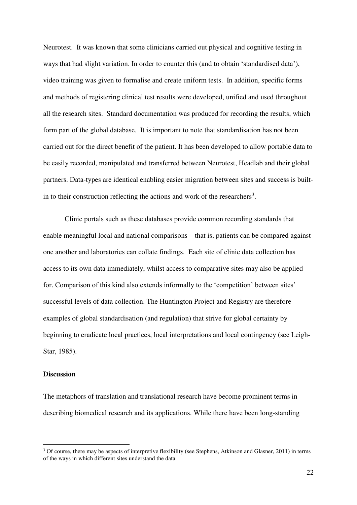Neurotest. It was known that some clinicians carried out physical and cognitive testing in ways that had slight variation. In order to counter this (and to obtain 'standardised data'), video training was given to formalise and create uniform tests. In addition, specific forms and methods of registering clinical test results were developed, unified and used throughout all the research sites. Standard documentation was produced for recording the results, which form part of the global database. It is important to note that standardisation has not been carried out for the direct benefit of the patient. It has been developed to allow portable data to be easily recorded, manipulated and transferred between Neurotest, Headlab and their global partners. Data-types are identical enabling easier migration between sites and success is builtin to their construction reflecting the actions and work of the researchers<sup>3</sup>.

Clinic portals such as these databases provide common recording standards that enable meaningful local and national comparisons – that is, patients can be compared against one another and laboratories can collate findings. Each site of clinic data collection has access to its own data immediately, whilst access to comparative sites may also be applied for. Comparison of this kind also extends informally to the 'competition' between sites' successful levels of data collection. The Huntington Project and Registry are therefore examples of global standardisation (and regulation) that strive for global certainty by beginning to eradicate local practices, local interpretations and local contingency (see Leigh-Star, 1985).

## **Discussion**

-

The metaphors of translation and translational research have become prominent terms in describing biomedical research and its applications. While there have been long-standing

 $3$  Of course, there may be aspects of interpretive flexibility (see Stephens, Atkinson and Glasner, 2011) in terms of the ways in which different sites understand the data.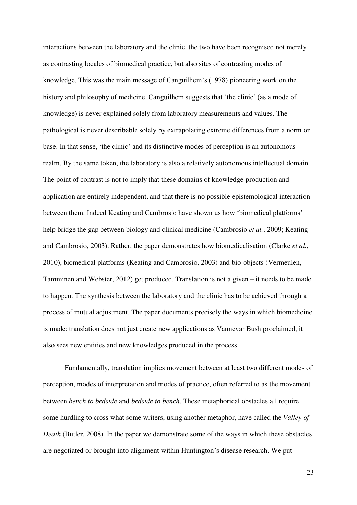interactions between the laboratory and the clinic, the two have been recognised not merely as contrasting locales of biomedical practice, but also sites of contrasting modes of knowledge. This was the main message of Canguilhem's (1978) pioneering work on the history and philosophy of medicine. Canguilhem suggests that 'the clinic' (as a mode of knowledge) is never explained solely from laboratory measurements and values. The pathological is never describable solely by extrapolating extreme differences from a norm or base. In that sense, 'the clinic' and its distinctive modes of perception is an autonomous realm. By the same token, the laboratory is also a relatively autonomous intellectual domain. The point of contrast is not to imply that these domains of knowledge-production and application are entirely independent, and that there is no possible epistemological interaction between them. Indeed Keating and Cambrosio have shown us how 'biomedical platforms' help bridge the gap between biology and clinical medicine (Cambrosio *et al.*, 2009; Keating and Cambrosio, 2003). Rather, the paper demonstrates how biomedicalisation (Clarke *et al.*, 2010), biomedical platforms (Keating and Cambrosio, 2003) and bio-objects (Vermeulen, Tamminen and Webster, 2012) get produced. Translation is not a given  $-$  it needs to be made to happen. The synthesis between the laboratory and the clinic has to be achieved through a process of mutual adjustment. The paper documents precisely the ways in which biomedicine is made: translation does not just create new applications as Vannevar Bush proclaimed, it also sees new entities and new knowledges produced in the process.

Fundamentally, translation implies movement between at least two different modes of perception, modes of interpretation and modes of practice, often referred to as the movement between *bench to bedside* and *bedside to bench*. These metaphorical obstacles all require some hurdling to cross what some writers, using another metaphor, have called the *Valley of Death* (Butler, 2008). In the paper we demonstrate some of the ways in which these obstacles are negotiated or brought into alignment within Huntington's disease research. We put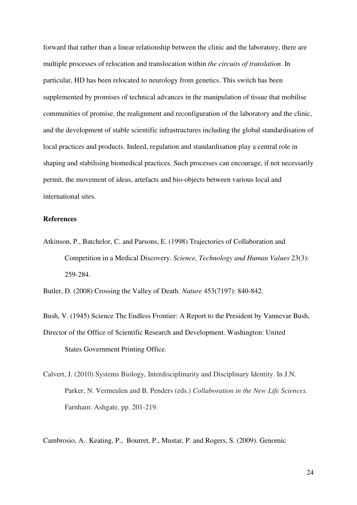forward that rather than a linear relationship between the clinic and the laboratory, there are multiple processes of relocation and translocation within *the circuits of translation.* In particular, HD has been relocated to neurology from genetics. This switch has been supplemented by promises of technical advances in the manipulation of tissue that mobilise communities of promise, the realignment and reconfiguration of the laboratory and the clinic, and the development of stable scientific infrastructures including the global standardisation of local practices and products. Indeed, regulation and standardisation play a central role in shaping and stabilising biomedical practices. Such processes can encourage, if not necessarily permit, the movement of ideas, artefacts and bio-objects between various local and international sites.

## **References**

Atkinson, P., Batchelor, C. and Parsons, E. (1998) Trajectories of Collaboration and Competition in a Medical Discovery. *Science, Technology and Human Values* 23(3): 259-284.

Butler, D. (2008) Crossing the Valley of Death. *Nature* 453(7197): 840-842.

Bush, V. (1945) Science The Endless Frontier: A Report to the President by Vannevar Bush, Director of the Office of Scientific Research and Development. Washington: United States Government Printing Office.

Calvert, J. (2010) Systems Biology, Interdisciplinarity and Disciplinary Identity. In J.N. Parker, N. Vermeulen and B. Penders (eds.) *Collaboration in the New Life Sciences.*  Farnham: Ashgate, pp. 201-219.

Cambrosio, A.. Keating, P., Bourret, P., Mustar, P. and Rogers, S. (2009). Genomic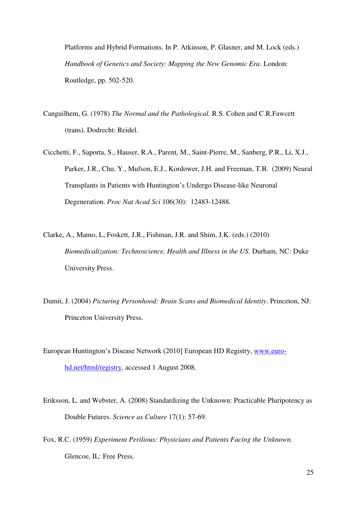Platforms and Hybrid Formations. In P. Atkinson, P. Glasner, and M. Lock (eds.) *Handbook of Genetics and Society: Mapping the New Genomic Era*. London: Routledge, pp. 502-520.

- Canguilhem, G. (1978) *The Normal and the Pathological.* R.S. Cohen and C.R.Fawcett (trans). Dodrecht: Reidel.
- Cicchetti, F., Saporta, S., Hauser, R.A., Parent, M., Saint-Pierre, M., Sanberg, P.R., Li, X.J., Parker, J.R., Chu, Y., Mufson, E.J., Kordower, J.H. and Freeman, T.B. (2009) Neural Transplants in Patients with Huntington's Undergo Disease-like Neuronal Degeneration. *Proc Nat Acad Sci* 106(30): 12483-12488.
- Clarke, A., Mamo, L, Foskett, J.R., Fishman, J.R. and Shim, J.K. (eds.) (2010) *Biomedicalization: Technoscience, Health and Illness in the US.* Durham, NC: Duke University Press.
- Dumit, J. (2004) *Picturing Personhood: Brain Scans and Biomedical Identity*. Princeton, NJ: Princeton University Press.

European Huntington's Disease Network (2010] European HD Registry, [www.euro](http://www.euro-hd.net/html/registry)[hd.net/html/registry,](http://www.euro-hd.net/html/registry) accessed 1 August 2008.

- Eriksson, L. and Webster, A. (2008) Standardizing the Unknown: Practicable Pluripotency as Double Futures. *Science as Culture* 17(1): 57-69.
- Fox, R.C. (1959) *Experiment Perilious: Physicians and Patients Facing the Unknown.*  Glencoe, IL: Free Press.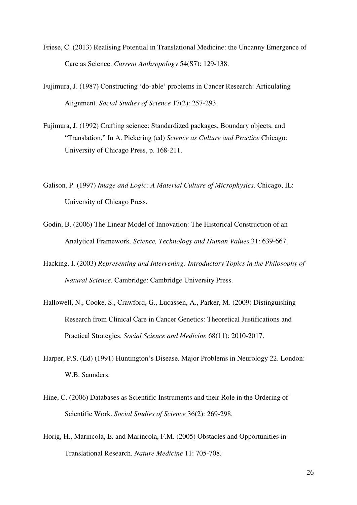- Friese, C. (2013) Realising Potential in Translational Medicine: the Uncanny Emergence of Care as Science. *Current Anthropology* 54(S7): 129-138.
- Fujimura, J. (1987) Constructing 'do-able' problems in Cancer Research: Articulating Alignment. *Social Studies of Science* 17(2): 257-293.
- Fujimura, J. (1992) Crafting science: Standardized packages, Boundary objects, and "Translation." In A. Pickering (ed) *Science as Culture and Practice* Chicago: University of Chicago Press, p. 168-211.
- Galison, P. (1997) *Image and Logic: A Material Culture of Microphysics*. Chicago, IL: University of Chicago Press.
- Godin, B. (2006) The Linear Model of Innovation: The Historical Construction of an Analytical Framework. *Science, Technology and Human Values* 31: 639-667.
- Hacking, I. (2003) *Representing and Intervening: Introductory Topics in the Philosophy of Natural Science*. Cambridge: Cambridge University Press.
- Hallowell, N., Cooke, S., Crawford, G., Lucassen, A., Parker, M. (2009) Distinguishing Research from Clinical Care in Cancer Genetics: Theoretical Justifications and Practical Strategies. *Social Science and Medicine* 68(11): 2010-2017.
- Harper, P.S. (Ed) (1991) Huntington's Disease. Major Problems in Neurology 22. London: W.B. Saunders.
- Hine, C. (2006) Databases as Scientific Instruments and their Role in the Ordering of Scientific Work. *Social Studies of Science* 36(2): 269-298.
- Horig, H., Marincola, E. and Marincola, F.M. (2005) Obstacles and Opportunities in Translational Research. *Nature Medicine* 11: 705-708.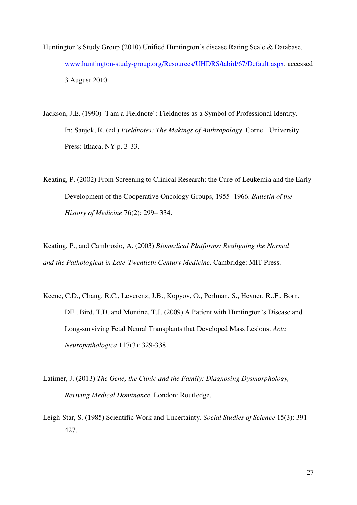- Huntington's Study Group (2010) Unified Huntington's disease Rating Scale & Database. [www.huntington-study-group.org/Resources/UHDRS/tabid/67/Default.aspx,](http://www.huntington-study-group.org/Resources/UHDRS/tabid/67/Default.aspx) accessed 3 August 2010.
- Jackson, J.E. (1990) "I am a Fieldnote": Fieldnotes as a Symbol of Professional Identity. In: Sanjek, R. (ed.) *Fieldnotes: The Makings of Anthropology*. Cornell University Press: Ithaca, NY p. 3-33.

Keating, P. (2002) From Screening to Clinical Research: the Cure of Leukemia and the Early Development of the Cooperative Oncology Groups, 1955–1966. *Bulletin of the History of Medicine* 76(2): 299– 334.

Keating, P., and Cambrosio, A. (2003) *Biomedical Platforms: Realigning the Normal and the Pathological in Late-Twentieth Century Medicine.* Cambridge: MIT Press.

- Keene, C.D., Chang, R.C., Leverenz, J.B., Kopyov, O., Perlman, S., Hevner, R..F., Born, DE., Bird, T.D. and Montine, T.J. (2009) A Patient with Huntington's Disease and Long-surviving Fetal Neural Transplants that Developed Mass Lesions. *Acta Neuropathologica* 117(3): 329-338.
- Latimer, J. (2013) *The Gene, the Clinic and the Family: Diagnosing Dysmorphology, Reviving Medical Dominance*. London: Routledge.
- Leigh-Star, S. (1985) Scientific Work and Uncertainty. *Social Studies of Science* 15(3): 391- 427.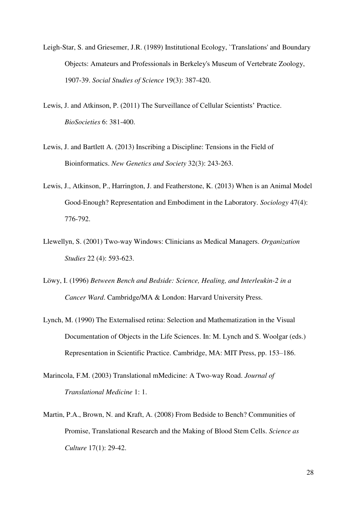- Leigh-Star, S. and Griesemer, J.R. (1989) Institutional Ecology, `Translations' and Boundary Objects: Amateurs and Professionals in Berkeley's Museum of Vertebrate Zoology, 1907-39. *Social Studies of Science* 19(3): 387-420.
- Lewis, J. and Atkinson, P. (2011) The Surveillance of Cellular Scientists' Practice. *BioSocieties* 6: 381-400.
- Lewis, J. and Bartlett A. (2013) Inscribing a Discipline: Tensions in the Field of Bioinformatics. *New Genetics and Society* 32(3): 243-263.
- Lewis, J., Atkinson, P., Harrington, J. and Featherstone, K. (2013) When is an Animal Model Good-Enough? Representation and Embodiment in the Laboratory. *Sociology* 47(4): 776-792.
- Llewellyn, S. (2001) Two-way Windows: Clinicians as Medical Managers. *Organization Studies* 22 (4): 593-623.
- Löwy, I. (1996) *Between Bench and Bedside: Science, Healing, and Interleukin-2 in a Cancer Ward*. Cambridge/MA & London: Harvard University Press.
- Lynch, M. (1990) The Externalised retina: Selection and Mathematization in the Visual Documentation of Objects in the Life Sciences. In: M. Lynch and S. Woolgar (eds.) Representation in Scientific Practice. Cambridge, MA: MIT Press, pp. 153–186.
- Marincola, F.M. (2003) Translational mMedicine: A Two-way Road. *Journal of Translational Medicine* 1: 1.
- Martin, P.A., Brown, N. and Kraft, A. (2008) From Bedside to Bench? Communities of Promise, Translational Research and the Making of Blood Stem Cells. *Science as Culture* 17(1): 29-42.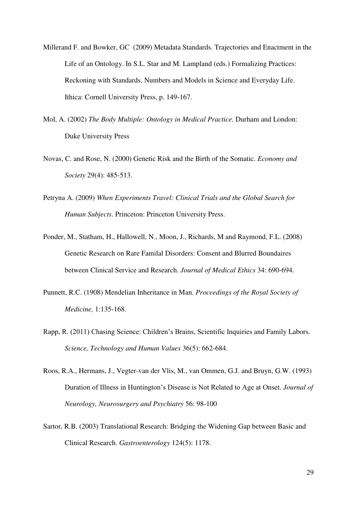- Millerand F. and Bowker, GC (2009) Metadata Standards. Trajectories and Enactment in the Life of an Ontology. In S.L. Star and M. Lampland (eds.) Formalizing Practices: Reckoning with Standards, Numbers and Models in Science and Everyday Life. Ithica: Cornell University Press, p. 149-167.
- Mol, A. (2002) *The Body Multiple: Ontology in Medical Practice*. Durham and London: Duke University Press
- Novas, C. and Rose, N. (2000) Genetic Risk and the Birth of the Somatic. *Economy and Society* 29(4): 485-513.
- Petryna A. (2009) *When Experiments Travel: Clinical Trials and the Global Search for Human Subjects*. Princeton: Princeton University Press.
- Ponder, M., Statham, H., Hallowell, N., Moon, J., Richards, M and Raymond, F.L. (2008) Genetic Research on Rare Familal Disorders: Consent and Blurred Boundaires between Clinical Service and Research. *Journal of Medical Ethics* 34: 690-694.
- Punnett, R.C. (1908) Mendelian Inheritance in Man. *Proceedings of the Royal Society of Medicine,* 1:135-168.
- Rapp, R. (2011) Chasing Science: Children's Brains, Scientific Inquiries and Family Labors. *Science, Technology and Human Values* 36(5): 662-684.
- Roos, R.A., Hermans, J., Vegter-van der Vlis, M., van Ommen, G.J. and Bruyn, G.W. (1993) Duration of Illness in Huntington's Disease is Not Related to Age at Onset*. Journal of Neurology, Neurosurgery and Psychiatry* 56: 98-100
- Sartor, R.B. (2003) Translational Research: Bridging the Widening Gap between Basic and Clinical Research. *Gastroenterology* 124(5): 1178.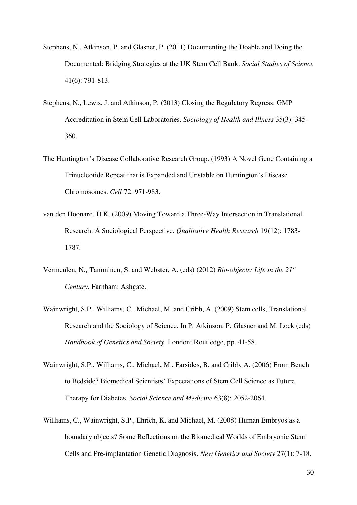- Stephens, N., Atkinson, P. and Glasner, P. (2011) Documenting the Doable and Doing the Documented: Bridging Strategies at the UK Stem Cell Bank. *Social Studies of Science*  41(6): 791-813.
- Stephens, N., Lewis, J. and Atkinson, P. (2013) Closing the Regulatory Regress: GMP Accreditation in Stem Cell Laboratories. *Sociology of Health and Illness* 35(3): 345- 360.
- The Huntington's Disease Collaborative Research Group. (1993) A Novel Gene Containing a Trinucleotide Repeat that is Expanded and Unstable on Huntington's Disease Chromosomes. *Cell* 72: 971-983.
- van den Hoonard, D.K. (2009) Moving Toward a Three-Way Intersection in Translational Research: A Sociological Perspective. *Qualitative Health Research* 19(12): 1783- 1787.
- Vermeulen, N., Tamminen, S. and Webster, A. (eds) (2012) *Bio-objects: Life in the 21st Century*. Farnham: Ashgate.
- Wainwright, S.P., Williams, C., Michael, M. and Cribb, A. (2009) Stem cells, Translational Research and the Sociology of Science. In P. Atkinson, P. Glasner and M. Lock (eds) *Handbook of Genetics and Society*. London: Routledge, pp. 41-58.
- Wainwright, S.P., Williams, C., Michael, M., Farsides, B. and Cribb, A. (2006) From Bench to Bedside? Biomedical Scientists' Expectations of Stem Cell Science as Future Therapy for Diabetes. *Social Science and Medicine* 63(8): 2052-2064.
- Williams, C., Wainwright, S.P., Ehrich, K. and Michael, M. (2008) Human Embryos as a boundary objects? Some Reflections on the Biomedical Worlds of Embryonic Stem Cells and Pre-implantation Genetic Diagnosis. *New Genetics and Society* 27(1): 7-18.